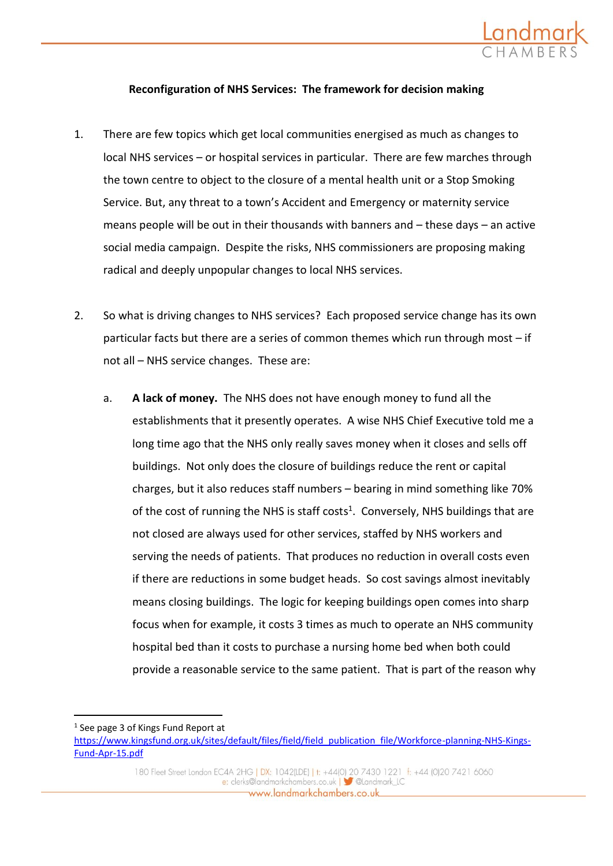

# **Reconfiguration of NHS Services: The framework for decision making**

- 1. There are few topics which get local communities energised as much as changes to local NHS services – or hospital services in particular. There are few marches through the town centre to object to the closure of a mental health unit or a Stop Smoking Service. But, any threat to a town's Accident and Emergency or maternity service means people will be out in their thousands with banners and – these days – an active social media campaign. Despite the risks, NHS commissioners are proposing making radical and deeply unpopular changes to local NHS services.
- 2. So what is driving changes to NHS services? Each proposed service change has its own particular facts but there are a series of common themes which run through most – if not all – NHS service changes. These are:
	- a. **A lack of money.** The NHS does not have enough money to fund all the establishments that it presently operates. A wise NHS Chief Executive told me a long time ago that the NHS only really saves money when it closes and sells off buildings. Not only does the closure of buildings reduce the rent or capital charges, but it also reduces staff numbers – bearing in mind something like 70% of the cost of running the NHS is staff costs<sup>1</sup>. Conversely, NHS buildings that are not closed are always used for other services, staffed by NHS workers and serving the needs of patients. That produces no reduction in overall costs even if there are reductions in some budget heads. So cost savings almost inevitably means closing buildings. The logic for keeping buildings open comes into sharp focus when for example, it costs 3 times as much to operate an NHS community hospital bed than it costs to purchase a nursing home bed when both could provide a reasonable service to the same patient. That is part of the reason why

<sup>&</sup>lt;sup>1</sup> See page 3 of Kings Fund Report at

[https://www.kingsfund.org.uk/sites/default/files/field/field\\_publication\\_file/Workforce-planning-NHS-Kings-](https://www.kingsfund.org.uk/sites/default/files/field/field_publication_file/Workforce-planning-NHS-Kings-Fund-Apr-15.pdf)[Fund-Apr-15.pdf](https://www.kingsfund.org.uk/sites/default/files/field/field_publication_file/Workforce-planning-NHS-Kings-Fund-Apr-15.pdf)

<sup>180</sup> Fleet Street London EC4A 2HG | DX: 1042(LDE) | t: +44(0) 20 7430 1221 f: +44 (0)20 7421 6060 e: clerks@landmarkchambers.co.uk | Sulandmark\_LC www.landmarkchambers.co.uk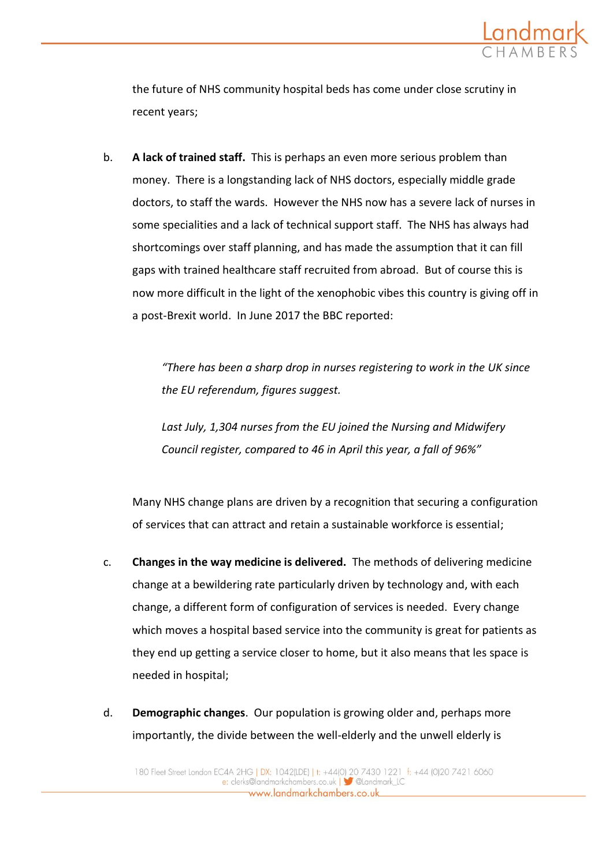

the future of NHS community hospital beds has come under close scrutiny in recent years;

b. **A lack of trained staff.** This is perhaps an even more serious problem than money. There is a longstanding lack of NHS doctors, especially middle grade doctors, to staff the wards. However the NHS now has a severe lack of nurses in some specialities and a lack of technical support staff. The NHS has always had shortcomings over staff planning, and has made the assumption that it can fill gaps with trained healthcare staff recruited from abroad. But of course this is now more difficult in the light of the xenophobic vibes this country is giving off in a post-Brexit world. In June 2017 the BBC reported:

> *"There has been a sharp drop in nurses registering to work in the UK since the EU referendum, figures suggest.*

*Last July, 1,304 nurses from the EU joined the Nursing and Midwifery Council register, compared to 46 in April this year, a fall of 96%"*

Many NHS change plans are driven by a recognition that securing a configuration of services that can attract and retain a sustainable workforce is essential;

- c. **Changes in the way medicine is delivered.** The methods of delivering medicine change at a bewildering rate particularly driven by technology and, with each change, a different form of configuration of services is needed. Every change which moves a hospital based service into the community is great for patients as they end up getting a service closer to home, but it also means that les space is needed in hospital;
- d. **Demographic changes**. Our population is growing older and, perhaps more importantly, the divide between the well-elderly and the unwell elderly is

www.landmarkchambers.co.uk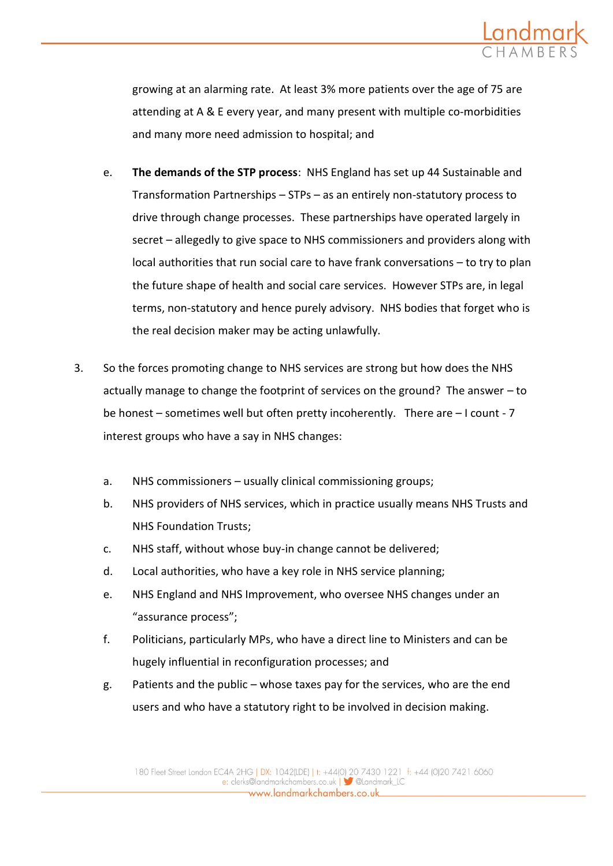

growing at an alarming rate. At least 3% more patients over the age of 75 are attending at A & E every year, and many present with multiple co-morbidities and many more need admission to hospital; and

- e. **The demands of the STP process**: NHS England has set up 44 Sustainable and Transformation Partnerships – STPs – as an entirely non-statutory process to drive through change processes. These partnerships have operated largely in secret – allegedly to give space to NHS commissioners and providers along with local authorities that run social care to have frank conversations – to try to plan the future shape of health and social care services. However STPs are, in legal terms, non-statutory and hence purely advisory. NHS bodies that forget who is the real decision maker may be acting unlawfully.
- 3. So the forces promoting change to NHS services are strong but how does the NHS actually manage to change the footprint of services on the ground? The answer – to be honest – sometimes well but often pretty incoherently. There are – I count - 7 interest groups who have a say in NHS changes:
	- a. NHS commissioners usually clinical commissioning groups;
	- b. NHS providers of NHS services, which in practice usually means NHS Trusts and NHS Foundation Trusts;
	- c. NHS staff, without whose buy-in change cannot be delivered;
	- d. Local authorities, who have a key role in NHS service planning;
	- e. NHS England and NHS Improvement, who oversee NHS changes under an "assurance process";
	- f. Politicians, particularly MPs, who have a direct line to Ministers and can be hugely influential in reconfiguration processes; and
	- g. Patients and the public whose taxes pay for the services, who are the end users and who have a statutory right to be involved in decision making.

www.landmarkchambers.co.uk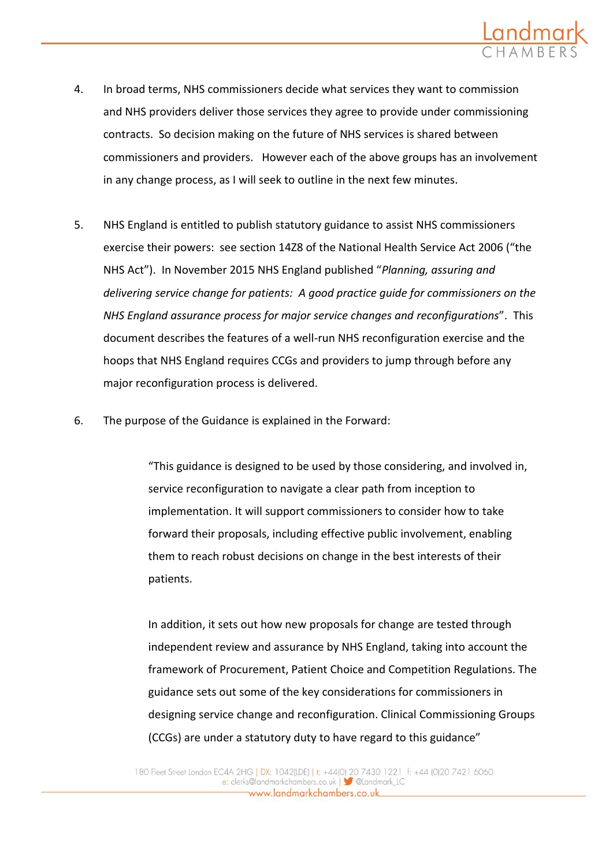

- 4. In broad terms, NHS commissioners decide what services they want to commission and NHS providers deliver those services they agree to provide under commissioning contracts. So decision making on the future of NHS services is shared between commissioners and providers. However each of the above groups has an involvement in any change process, as I will seek to outline in the next few minutes.
- 5. NHS England is entitled to publish statutory guidance to assist NHS commissioners exercise their powers: see section 14Z8 of the National Health Service Act 2006 ("the NHS Act"). In November 2015 NHS England published "*Planning, assuring and delivering service change for patients: A good practice guide for commissioners on the NHS England assurance process for major service changes and reconfigurations*". This document describes the features of a well-run NHS reconfiguration exercise and the hoops that NHS England requires CCGs and providers to jump through before any major reconfiguration process is delivered.
- 6. The purpose of the Guidance is explained in the Forward:

"This guidance is designed to be used by those considering, and involved in, service reconfiguration to navigate a clear path from inception to implementation. It will support commissioners to consider how to take forward their proposals, including effective public involvement, enabling them to reach robust decisions on change in the best interests of their patients.

In addition, it sets out how new proposals for change are tested through independent review and assurance by NHS England, taking into account the framework of Procurement, Patient Choice and Competition Regulations. The guidance sets out some of the key considerations for commissioners in designing service change and reconfiguration. Clinical Commissioning Groups (CCGs) are under a statutory duty to have regard to this guidance"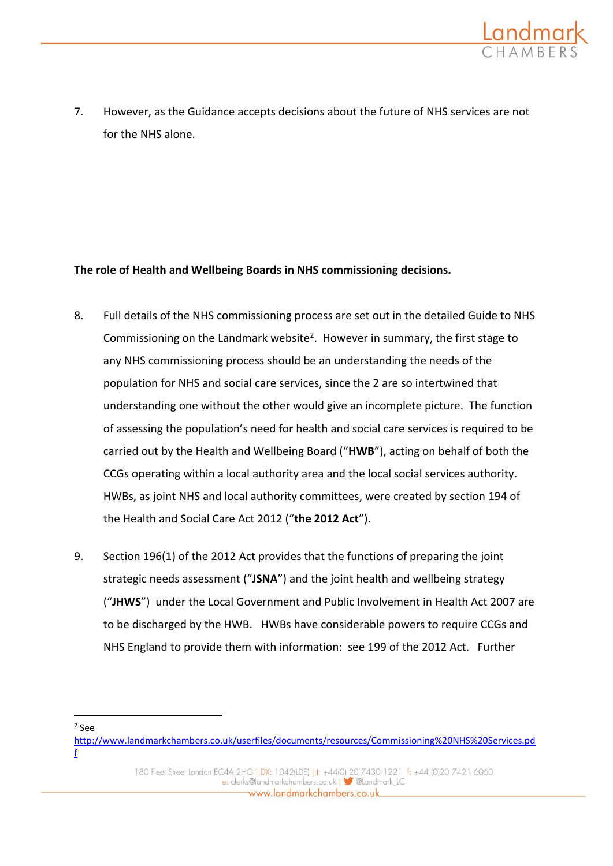

7. However, as the Guidance accepts decisions about the future of NHS services are not for the NHS alone.

## **The role of Health and Wellbeing Boards in NHS commissioning decisions.**

- 8. Full details of the NHS commissioning process are set out in the detailed Guide to NHS Commissioning on the Landmark website<sup>2</sup>. However in summary, the first stage to any NHS commissioning process should be an understanding the needs of the population for NHS and social care services, since the 2 are so intertwined that understanding one without the other would give an incomplete picture. The function of assessing the population's need for health and social care services is required to be carried out by the Health and Wellbeing Board ("**HWB**"), acting on behalf of both the CCGs operating within a local authority area and the local social services authority. HWBs, as joint NHS and local authority committees, were created by section 194 of the Health and Social Care Act 2012 ("**the 2012 Act**").
- 9. Section 196(1) of the 2012 Act provides that the functions of preparing the joint strategic needs assessment ("**JSNA**") and the joint health and wellbeing strategy ("**JHWS**") under the Local Government and Public Involvement in Health Act 2007 are to be discharged by the HWB. HWBs have considerable powers to require CCGs and NHS England to provide them with information: see 199 of the 2012 Act. Further

2 See

[http://www.landmarkchambers.co.uk/userfiles/documents/resources/Commissioning%20NHS%20Services.pd](http://www.landmarkchambers.co.uk/userfiles/documents/resources/Commissioning%20NHS%20Services.pdf) [f](http://www.landmarkchambers.co.uk/userfiles/documents/resources/Commissioning%20NHS%20Services.pdf)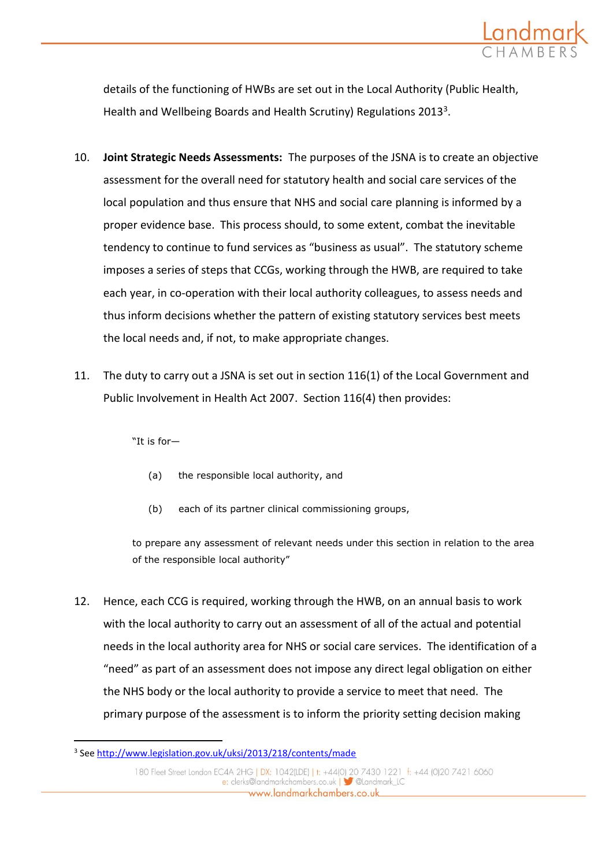

details of the functioning of HWBs are set out in the Local Authority (Public Health, Health and Wellbeing Boards and Health Scrutiny) Regulations 2013<sup>3</sup>.

- 10. **Joint Strategic Needs Assessments:** The purposes of the JSNA is to create an objective assessment for the overall need for statutory health and social care services of the local population and thus ensure that NHS and social care planning is informed by a proper evidence base. This process should, to some extent, combat the inevitable tendency to continue to fund services as "business as usual". The statutory scheme imposes a series of steps that CCGs, working through the HWB, are required to take each year, in co-operation with their local authority colleagues, to assess needs and thus inform decisions whether the pattern of existing statutory services best meets the local needs and, if not, to make appropriate changes.
- 11. The duty to carry out a JSNA is set out in section 116(1) of the Local Government and Public Involvement in Health Act 2007. Section 116(4) then provides:

"It is for—

- (a) the responsible local authority, and
- (b) each of its partner clinical commissioning groups,

to prepare any assessment of relevant needs under this section in relation to the area of the responsible local authority"

12. Hence, each CCG is required, working through the HWB, on an annual basis to work with the local authority to carry out an assessment of all of the actual and potential needs in the local authority area for NHS or social care services. The identification of a "need" as part of an assessment does not impose any direct legal obligation on either the NHS body or the local authority to provide a service to meet that need. The primary purpose of the assessment is to inform the priority setting decision making

<sup>&</sup>lt;sup>3</sup> See<http://www.legislation.gov.uk/uksi/2013/218/contents/made>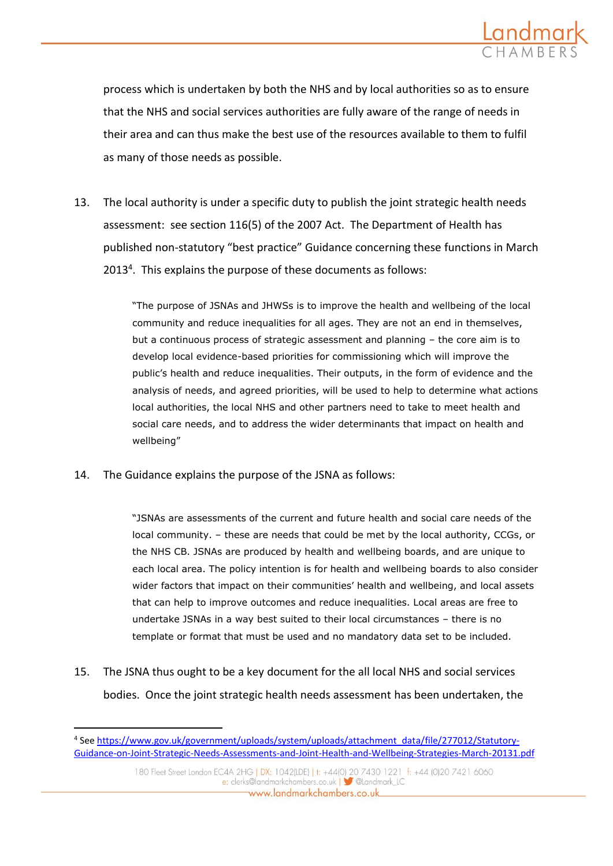

process which is undertaken by both the NHS and by local authorities so as to ensure that the NHS and social services authorities are fully aware of the range of needs in their area and can thus make the best use of the resources available to them to fulfil as many of those needs as possible.

13. The local authority is under a specific duty to publish the joint strategic health needs assessment: see section 116(5) of the 2007 Act. The Department of Health has published non-statutory "best practice" Guidance concerning these functions in March 2013<sup>4</sup>. This explains the purpose of these documents as follows:

> "The purpose of JSNAs and JHWSs is to improve the health and wellbeing of the local community and reduce inequalities for all ages. They are not an end in themselves, but a continuous process of strategic assessment and planning – the core aim is to develop local evidence-based priorities for commissioning which will improve the public's health and reduce inequalities. Their outputs, in the form of evidence and the analysis of needs, and agreed priorities, will be used to help to determine what actions local authorities, the local NHS and other partners need to take to meet health and social care needs, and to address the wider determinants that impact on health and wellbeing"

14. The Guidance explains the purpose of the JSNA as follows:

-

"JSNAs are assessments of the current and future health and social care needs of the local community. – these are needs that could be met by the local authority, CCGs, or the NHS CB. JSNAs are produced by health and wellbeing boards, and are unique to each local area. The policy intention is for health and wellbeing boards to also consider wider factors that impact on their communities' health and wellbeing, and local assets that can help to improve outcomes and reduce inequalities. Local areas are free to undertake JSNAs in a way best suited to their local circumstances – there is no template or format that must be used and no mandatory data set to be included.

15. The JSNA thus ought to be a key document for the all local NHS and social services bodies. Once the joint strategic health needs assessment has been undertaken, the

<sup>&</sup>lt;sup>4</sup> See [https://www.gov.uk/government/uploads/system/uploads/attachment\\_data/file/277012/Statutory-](https://www.gov.uk/government/uploads/system/uploads/attachment_data/file/277012/Statutory-Guidance-on-Joint-Strategic-Needs-Assessments-and-Joint-Health-and-Wellbeing-Strategies-March-20131.pdf)[Guidance-on-Joint-Strategic-Needs-Assessments-and-Joint-Health-and-Wellbeing-Strategies-March-20131.pdf](https://www.gov.uk/government/uploads/system/uploads/attachment_data/file/277012/Statutory-Guidance-on-Joint-Strategic-Needs-Assessments-and-Joint-Health-and-Wellbeing-Strategies-March-20131.pdf)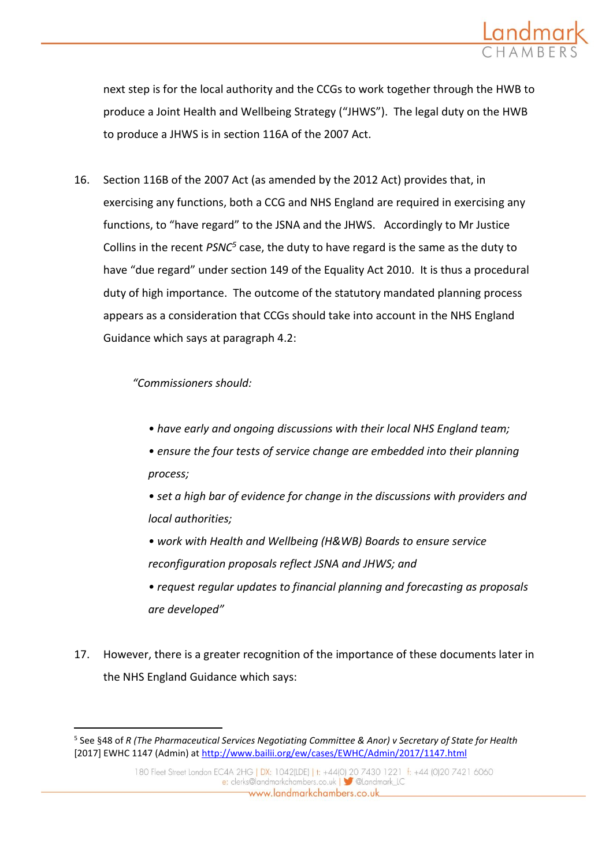

next step is for the local authority and the CCGs to work together through the HWB to produce a Joint Health and Wellbeing Strategy ("JHWS"). The legal duty on the HWB to produce a JHWS is in section 116A of the 2007 Act.

16. Section 116B of the 2007 Act (as amended by the 2012 Act) provides that, in exercising any functions, both a CCG and NHS England are required in exercising any functions, to "have regard" to the JSNA and the JHWS. Accordingly to Mr Justice Collins in the recent *PSNC<sup>5</sup>* case, the duty to have regard is the same as the duty to have "due regard" under section 149 of the Equality Act 2010. It is thus a procedural duty of high importance. The outcome of the statutory mandated planning process appears as a consideration that CCGs should take into account in the NHS England Guidance which says at paragraph 4.2:

### *"Commissioners should:*

- *have early and ongoing discussions with their local NHS England team;*
- *ensure the four tests of service change are embedded into their planning process;*
- *set a high bar of evidence for change in the discussions with providers and local authorities;*
- *work with Health and Wellbeing (H&WB) Boards to ensure service reconfiguration proposals reflect JSNA and JHWS; and*
- *request regular updates to financial planning and forecasting as proposals are developed"*
- 17. However, there is a greater recognition of the importance of these documents later in the NHS England Guidance which says:

<sup>5</sup> See §48 of *R (The Pharmaceutical Services Negotiating Committee & Anor) v Secretary of State for Health* [2017] EWHC 1147 (Admin) at<http://www.bailii.org/ew/cases/EWHC/Admin/2017/1147.html>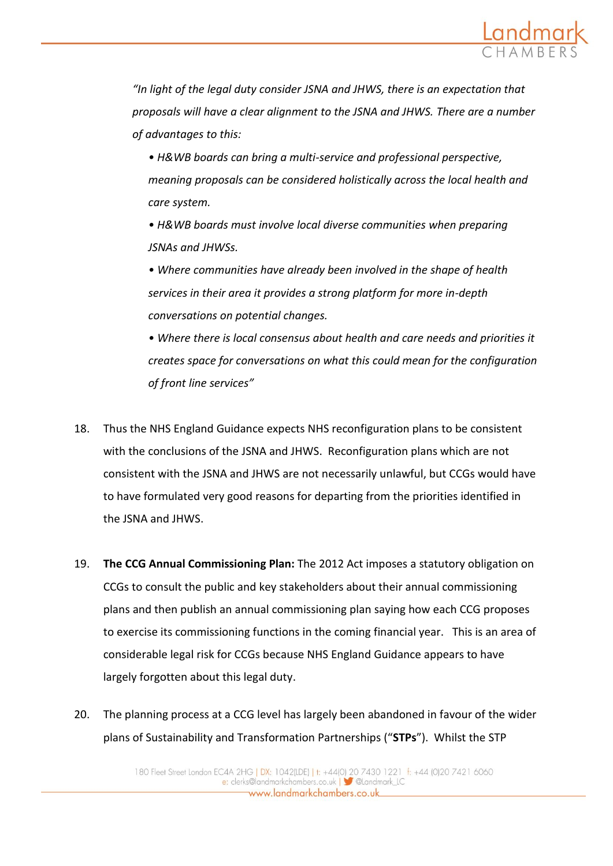

*"In light of the legal duty consider JSNA and JHWS, there is an expectation that proposals will have a clear alignment to the JSNA and JHWS. There are a number of advantages to this:*

- *H&WB boards can bring a multi-service and professional perspective, meaning proposals can be considered holistically across the local health and care system.*
- *H&WB boards must involve local diverse communities when preparing JSNAs and JHWSs.*
- *Where communities have already been involved in the shape of health services in their area it provides a strong platform for more in-depth conversations on potential changes.*
- *Where there is local consensus about health and care needs and priorities it creates space for conversations on what this could mean for the configuration of front line services"*
- 18. Thus the NHS England Guidance expects NHS reconfiguration plans to be consistent with the conclusions of the JSNA and JHWS. Reconfiguration plans which are not consistent with the JSNA and JHWS are not necessarily unlawful, but CCGs would have to have formulated very good reasons for departing from the priorities identified in the JSNA and JHWS.
- 19. **The CCG Annual Commissioning Plan:** The 2012 Act imposes a statutory obligation on CCGs to consult the public and key stakeholders about their annual commissioning plans and then publish an annual commissioning plan saying how each CCG proposes to exercise its commissioning functions in the coming financial year. This is an area of considerable legal risk for CCGs because NHS England Guidance appears to have largely forgotten about this legal duty.
- 20. The planning process at a CCG level has largely been abandoned in favour of the wider plans of Sustainability and Transformation Partnerships ("**STPs**"). Whilst the STP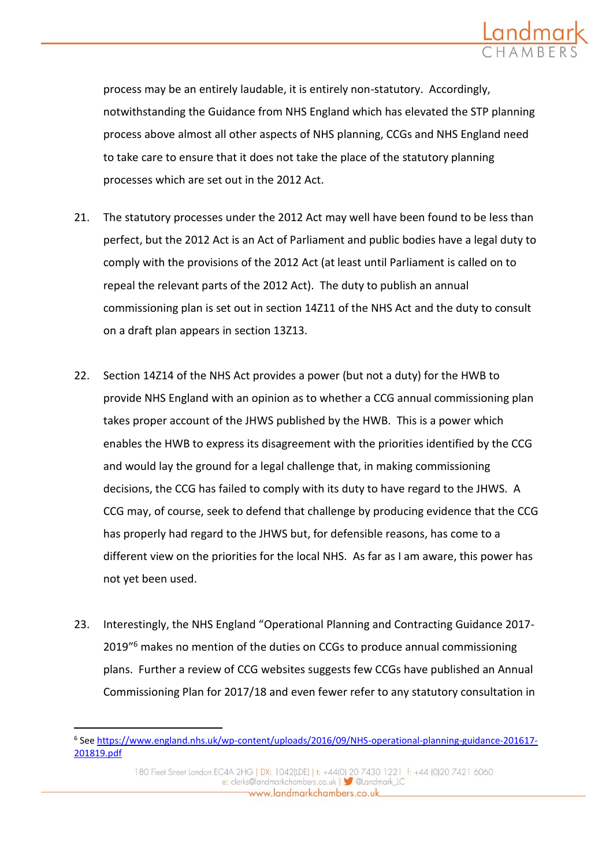

process may be an entirely laudable, it is entirely non-statutory. Accordingly, notwithstanding the Guidance from NHS England which has elevated the STP planning process above almost all other aspects of NHS planning, CCGs and NHS England need to take care to ensure that it does not take the place of the statutory planning processes which are set out in the 2012 Act.

- 21. The statutory processes under the 2012 Act may well have been found to be less than perfect, but the 2012 Act is an Act of Parliament and public bodies have a legal duty to comply with the provisions of the 2012 Act (at least until Parliament is called on to repeal the relevant parts of the 2012 Act). The duty to publish an annual commissioning plan is set out in section 14Z11 of the NHS Act and the duty to consult on a draft plan appears in section 13Z13.
- 22. Section 14Z14 of the NHS Act provides a power (but not a duty) for the HWB to provide NHS England with an opinion as to whether a CCG annual commissioning plan takes proper account of the JHWS published by the HWB. This is a power which enables the HWB to express its disagreement with the priorities identified by the CCG and would lay the ground for a legal challenge that, in making commissioning decisions, the CCG has failed to comply with its duty to have regard to the JHWS. A CCG may, of course, seek to defend that challenge by producing evidence that the CCG has properly had regard to the JHWS but, for defensible reasons, has come to a different view on the priorities for the local NHS. As far as I am aware, this power has not yet been used.
- 23. Interestingly, the NHS England "Operational Planning and Contracting Guidance 2017- 2019" <sup>6</sup> makes no mention of the duties on CCGs to produce annual commissioning plans. Further a review of CCG websites suggests few CCGs have published an Annual Commissioning Plan for 2017/18 and even fewer refer to any statutory consultation in

<sup>&</sup>lt;sup>6</sup> See [https://www.england.nhs.uk/wp-content/uploads/2016/09/NHS-operational-planning-guidance-201617-](https://www.england.nhs.uk/wp-content/uploads/2016/09/NHS-operational-planning-guidance-201617-201819.pdf) [201819.pdf](https://www.england.nhs.uk/wp-content/uploads/2016/09/NHS-operational-planning-guidance-201617-201819.pdf)

<sup>180</sup> Fleet Street London EC4A 2HG | DX: 1042(LDE) | t: +44(0) 20 7430 1221 f: +44 (0)20 7421 6060 e: clerks@landmarkchambers.co.uk | Sulandmark\_LC www.landmarkchambers.co.uk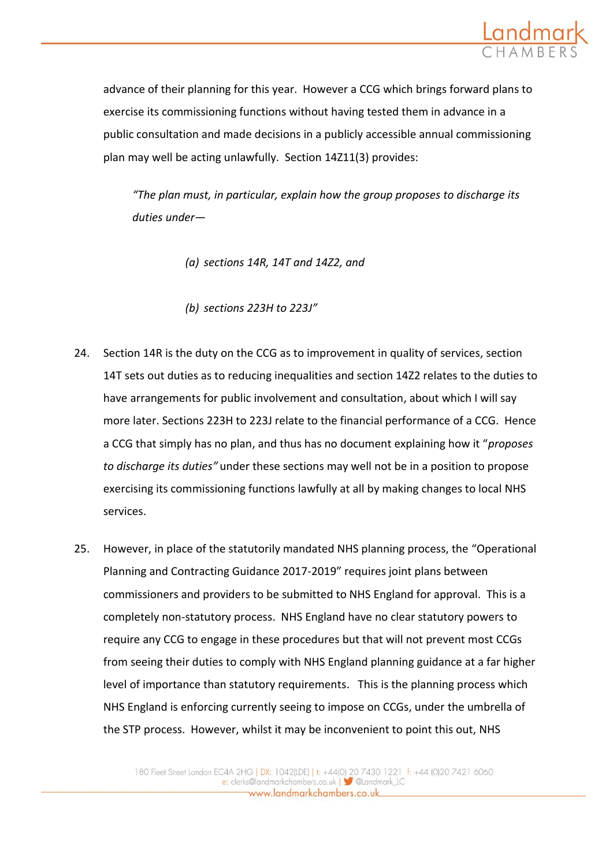

advance of their planning for this year. However a CCG which brings forward plans to exercise its commissioning functions without having tested them in advance in a public consultation and made decisions in a publicly accessible annual commissioning plan may well be acting unlawfully. Section 14Z11(3) provides:

*"The plan must, in particular, explain how the group proposes to discharge its duties under—*

- *(a) sections 14R, 14T and 14Z2, and*
- *(b) sections 223H to 223J"*
- 24. Section 14R is the duty on the CCG as to improvement in quality of services, section 14T sets out duties as to reducing inequalities and section 14Z2 relates to the duties to have arrangements for public involvement and consultation, about which I will say more later. Sections 223H to 223J relate to the financial performance of a CCG. Hence a CCG that simply has no plan, and thus has no document explaining how it "*proposes to discharge its duties"* under these sections may well not be in a position to propose exercising its commissioning functions lawfully at all by making changes to local NHS services.
- 25. However, in place of the statutorily mandated NHS planning process, the "Operational Planning and Contracting Guidance 2017-2019" requires joint plans between commissioners and providers to be submitted to NHS England for approval. This is a completely non-statutory process. NHS England have no clear statutory powers to require any CCG to engage in these procedures but that will not prevent most CCGs from seeing their duties to comply with NHS England planning guidance at a far higher level of importance than statutory requirements. This is the planning process which NHS England is enforcing currently seeing to impose on CCGs, under the umbrella of the STP process. However, whilst it may be inconvenient to point this out, NHS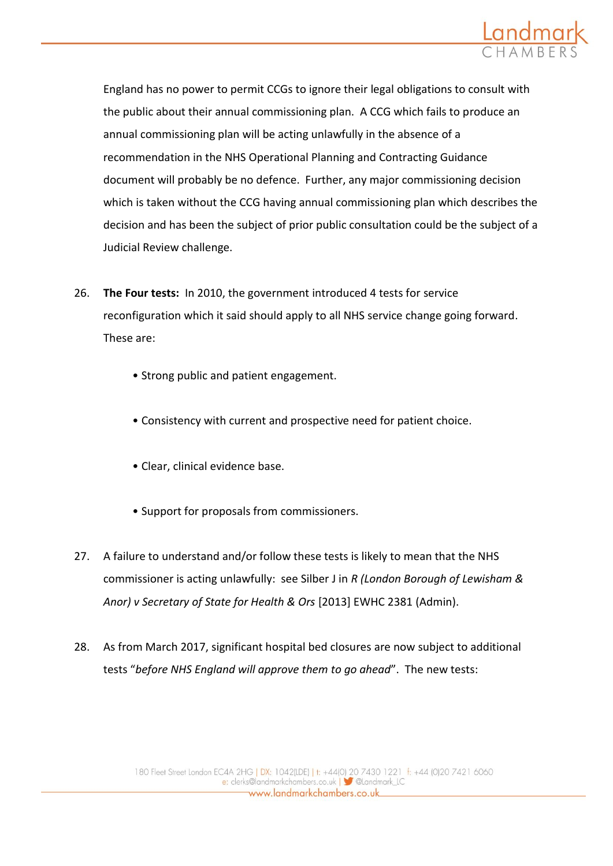

England has no power to permit CCGs to ignore their legal obligations to consult with the public about their annual commissioning plan. A CCG which fails to produce an annual commissioning plan will be acting unlawfully in the absence of a recommendation in the NHS Operational Planning and Contracting Guidance document will probably be no defence. Further, any major commissioning decision which is taken without the CCG having annual commissioning plan which describes the decision and has been the subject of prior public consultation could be the subject of a Judicial Review challenge.

- 26. **The Four tests:** In 2010, the government introduced 4 tests for service reconfiguration which it said should apply to all NHS service change going forward. These are:
	- Strong public and patient engagement.
	- Consistency with current and prospective need for patient choice.
	- Clear, clinical evidence base.
	- Support for proposals from commissioners.
- 27. A failure to understand and/or follow these tests is likely to mean that the NHS commissioner is acting unlawfully: see Silber J in *R (London Borough of Lewisham & Anor) v Secretary of State for Health & Ors* [2013] EWHC 2381 (Admin).
- 28. As from March 2017, significant hospital bed closures are now subject to additional tests "*before NHS England will approve them to go ahead*". The new tests: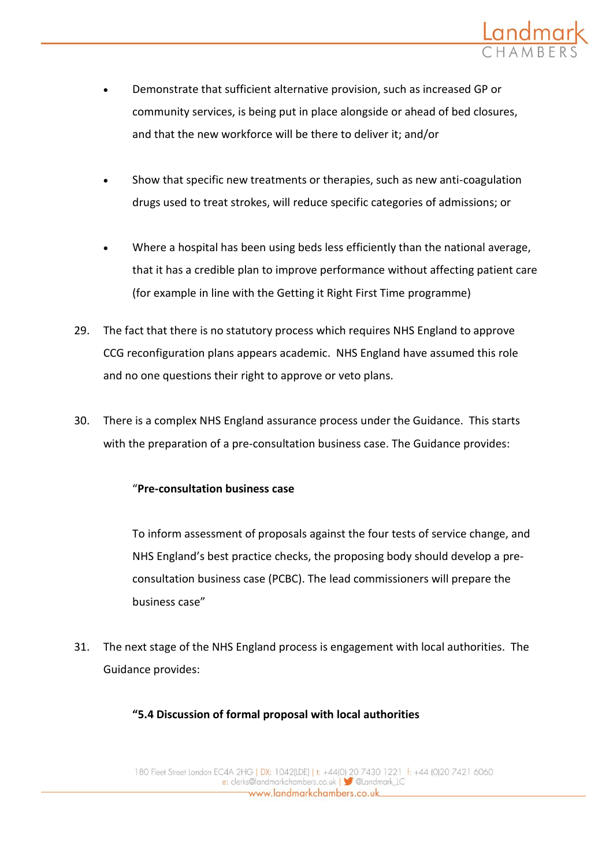

- Demonstrate that sufficient alternative provision, such as increased GP or community services, is being put in place alongside or ahead of bed closures, and that the new workforce will be there to deliver it; and/or
- Show that specific new treatments or therapies, such as new anti-coagulation drugs used to treat strokes, will reduce specific categories of admissions; or
- Where a hospital has been using beds less efficiently than the national average, that it has a credible plan to improve performance without affecting patient care (for example in line with the Getting it Right First Time programme)
- 29. The fact that there is no statutory process which requires NHS England to approve CCG reconfiguration plans appears academic. NHS England have assumed this role and no one questions their right to approve or veto plans.
- 30. There is a complex NHS England assurance process under the Guidance. This starts with the preparation of a pre-consultation business case. The Guidance provides:

## "**Pre-consultation business case**

To inform assessment of proposals against the four tests of service change, and NHS England's best practice checks, the proposing body should develop a preconsultation business case (PCBC). The lead commissioners will prepare the business case"

31. The next stage of the NHS England process is engagement with local authorities. The Guidance provides:

## **"5.4 Discussion of formal proposal with local authorities**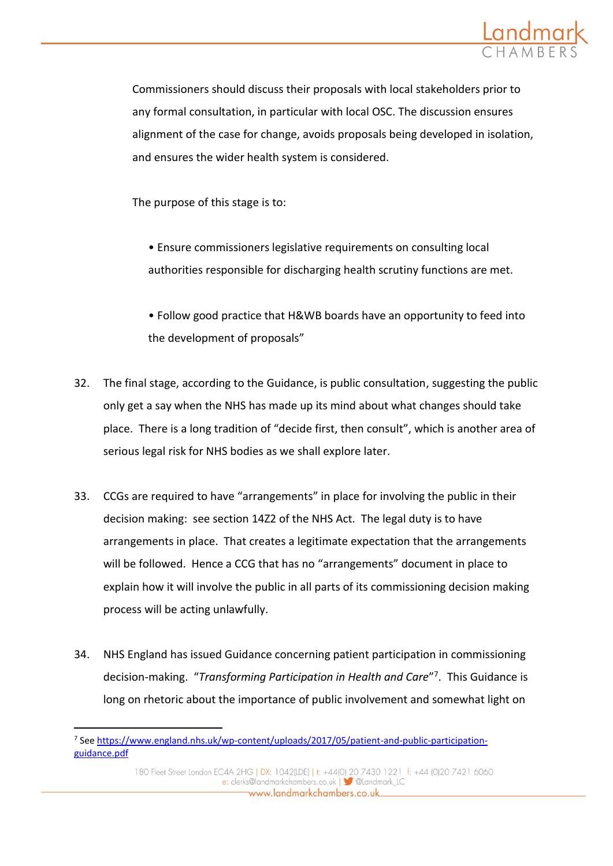

Commissioners should discuss their proposals with local stakeholders prior to any formal consultation, in particular with local OSC. The discussion ensures alignment of the case for change, avoids proposals being developed in isolation, and ensures the wider health system is considered.

The purpose of this stage is to:

• Ensure commissioners legislative requirements on consulting local authorities responsible for discharging health scrutiny functions are met.

• Follow good practice that H&WB boards have an opportunity to feed into the development of proposals"

- 32. The final stage, according to the Guidance, is public consultation, suggesting the public only get a say when the NHS has made up its mind about what changes should take place. There is a long tradition of "decide first, then consult", which is another area of serious legal risk for NHS bodies as we shall explore later.
- 33. CCGs are required to have "arrangements" in place for involving the public in their decision making: see section 14Z2 of the NHS Act. The legal duty is to have arrangements in place. That creates a legitimate expectation that the arrangements will be followed. Hence a CCG that has no "arrangements" document in place to explain how it will involve the public in all parts of its commissioning decision making process will be acting unlawfully.
- 34. NHS England has issued Guidance concerning patient participation in commissioning decision-making. "*Transforming Participation in Health and Care*" 7 . This Guidance is long on rhetoric about the importance of public involvement and somewhat light on

<sup>&</sup>lt;sup>7</sup> See [https://www.england.nhs.uk/wp-content/uploads/2017/05/patient-and-public-participation](https://www.england.nhs.uk/wp-content/uploads/2017/05/patient-and-public-participation-guidance.pdf)[guidance.pdf](https://www.england.nhs.uk/wp-content/uploads/2017/05/patient-and-public-participation-guidance.pdf)

<sup>180</sup> Fleet Street London EC4A 2HG | DX: 1042(LDE) | t: +44(0) 20 7430 1221 f: +44 (0)20 7421 6060 e: clerks@landmarkchambers.co.uk | Sulandmark\_LC www.landmarkchambers.co.uk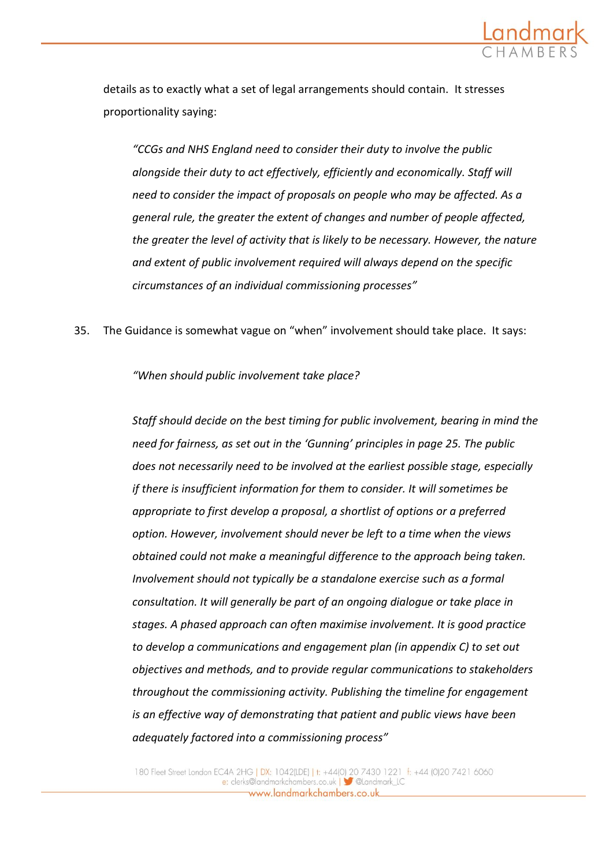

details as to exactly what a set of legal arrangements should contain. It stresses proportionality saying:

*"CCGs and NHS England need to consider their duty to involve the public alongside their duty to act effectively, efficiently and economically. Staff will need to consider the impact of proposals on people who may be affected. As a general rule, the greater the extent of changes and number of people affected, the greater the level of activity that is likely to be necessary. However, the nature and extent of public involvement required will always depend on the specific circumstances of an individual commissioning processes"*

35. The Guidance is somewhat vague on "when" involvement should take place. It says:

*"When should public involvement take place?*

*Staff should decide on the best timing for public involvement, bearing in mind the need for fairness, as set out in the 'Gunning' principles in page 25. The public does not necessarily need to be involved at the earliest possible stage, especially if there is insufficient information for them to consider. It will sometimes be appropriate to first develop a proposal, a shortlist of options or a preferred option. However, involvement should never be left to a time when the views obtained could not make a meaningful difference to the approach being taken. Involvement should not typically be a standalone exercise such as a formal consultation. It will generally be part of an ongoing dialogue or take place in stages. A phased approach can often maximise involvement. It is good practice to develop a communications and engagement plan (in appendix C) to set out objectives and methods, and to provide regular communications to stakeholders throughout the commissioning activity. Publishing the timeline for engagement is an effective way of demonstrating that patient and public views have been adequately factored into a commissioning process"*

180 Fleet Street London EC4A 2HG | DX: 1042(LDE) | t: +44(0) 20 7430 1221 f: +44 (0)20 7421 6060 e: clerks@landmarkchambers.co.uk | Sulandmark\_LC www.landmarkchambers.co.uk